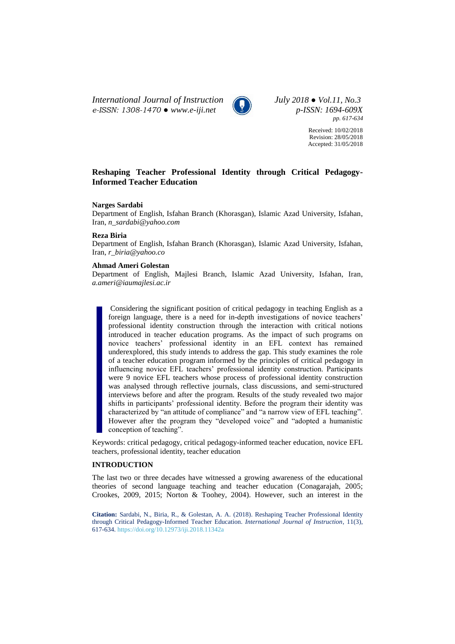*International Journal of Instruction July 2018 ● Vol.11, No.3 e-ISSN: 1308-1470 ● [www.e-iji.net](http://www.e-iji.net/) p-ISSN: 1694-609X*



*pp. 617-634*

Received: 10/02/2018 Revision: 28/05/2018 Accepted: 31/05/2018

# **Reshaping Teacher Professional Identity through Critical Pedagogy-Informed Teacher Education**

### **Narges Sardabi**

Department of English, Isfahan Branch (Khorasgan), Islamic Azad University, Isfahan, Iran, *n\_sardabi@yahoo.com*

#### **Reza Biria**

Department of English, Isfahan Branch (Khorasgan), Islamic Azad University, Isfahan, Iran, *r\_biria@yahoo.co*

### **Ahmad Ameri Golestan**

Department of English, Majlesi Branch, Islamic Azad University, Isfahan, Iran, *a.ameri@iaumajlesi.ac.ir*

Considering the significant position of critical pedagogy in teaching English as a foreign language, there is a need for in-depth investigations of novice teachers' professional identity construction through the interaction with critical notions introduced in teacher education programs. As the impact of such programs on novice teachers' professional identity in an EFL context has remained underexplored, this study intends to address the gap. This study examines the role of a teacher education program informed by the principles of critical pedagogy in influencing novice EFL teachers' professional identity construction. Participants were 9 novice EFL teachers whose process of professional identity construction was analysed through reflective journals, class discussions, and semi-structured interviews before and after the program. Results of the study revealed two major shifts in participants' professional identity. Before the program their identity was characterized by "an attitude of compliance" and "a narrow view of EFL teaching". However after the program they "developed voice" and "adopted a humanistic conception of teaching".

Keywords: critical pedagogy, critical pedagogy-informed teacher education, novice EFL teachers, professional identity, teacher education

# **INTRODUCTION**

The last two or three decades have witnessed a growing awareness of the educational theories of second language teaching and teacher education (Conagarajah, 2005; Crookes, 2009, 2015; Norton & Toohey, 2004). However, such an interest in the

**Citation:** Sardabi, N., Biria, R., & Golestan, A. A. (2018). Reshaping Teacher Professional Identity through Critical Pedagogy-Informed Teacher Education. *International Journal of Instruction*, 11(3), 617-634. <https://doi.org/10.12973/iji.2018.11342a>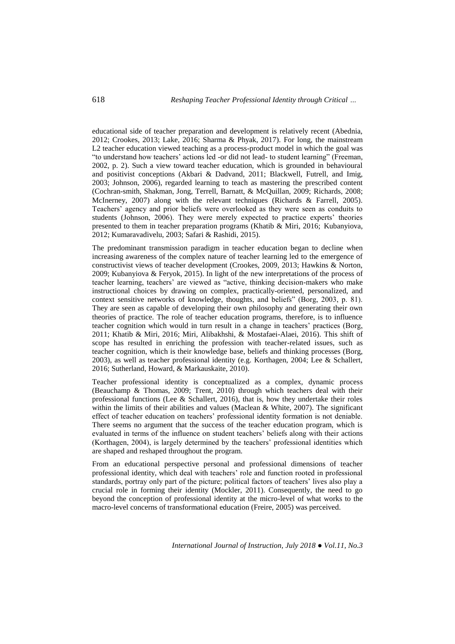educational side of teacher preparation and development is relatively recent (Abednia, 2012; Crookes, 2013; Lake, 2016; Sharma & Phyak, 2017). For long, the mainstream L2 teacher education viewed teaching as a process-product model in which the goal was "to understand how teachers' actions led -or did not lead- to student learning" (Freeman, 2002, p. 2). Such a view toward teacher education, which is grounded in behavioural and positivist conceptions (Akbari & Dadvand, 2011; Blackwell, Futrell, and Imig, 2003; Johnson, 2006), regarded learning to teach as mastering the prescribed content (Cochran-smith, Shakman, Jong, Terrell, Barnatt, & McQuillan, 2009; Richards, 2008; McInerney, 2007) along with the relevant techniques (Richards & Farrell, 2005). Teachers' agency and prior beliefs were overlooked as they were seen as conduits to students (Johnson, 2006). They were merely expected to practice experts' theories presented to them in teacher preparation programs (Khatib & Miri, 2016; Kubanyiova, 2012; Kumaravadivelu, 2003; Safari & Rashidi, 2015).

The predominant transmission paradigm in teacher education began to decline when increasing awareness of the complex nature of teacher learning led to the emergence of constructivist views of teacher development (Crookes, 2009, 2013; Hawkins & Norton, 2009; Kubanyiova & Feryok, 2015). In light of the new interpretations of the process of teacher learning, teachers' are viewed as "active, thinking decision-makers who make instructional choices by drawing on complex, practically-oriented, personalized, and context sensitive networks of knowledge, thoughts, and beliefs" (Borg, 2003, p. 81). They are seen as capable of developing their own philosophy and generating their own theories of practice. The role of teacher education programs, therefore, is to influence teacher cognition which would in turn result in a change in teachers' practices (Borg, 2011; Khatib & Miri, 2016; Miri, Alibakhshi, & Mostafaei-Alaei, 2016). This shift of scope has resulted in enriching the profession with teacher-related issues, such as teacher cognition, which is their knowledge base, beliefs and thinking processes (Borg, 2003), as well as teacher professional identity (e.g. Korthagen, 2004; Lee & Schallert, 2016; Sutherland, Howard, & Markauskaite, 2010).

Teacher professional identity is conceptualized as a complex, dynamic process (Beauchamp & Thomas, 2009; Trent, 2010) through which teachers deal with their professional functions (Lee & Schallert, 2016), that is, how they undertake their roles within the limits of their abilities and values (Maclean  $&$  White, 2007). The significant effect of teacher education on teachers' professional identity formation is not deniable. There seems no argument that the success of the teacher education program, which is evaluated in terms of the influence on student teachers' beliefs along with their actions (Korthagen, 2004), is largely determined by the teachers' professional identities which are shaped and reshaped throughout the program.

From an educational perspective personal and professional dimensions of teacher professional identity, which deal with teachers' role and function rooted in professional standards, portray only part of the picture; political factors of teachers' lives also play a crucial role in forming their identity (Mockler, 2011). Consequently, the need to go beyond the conception of professional identity at the micro-level of what works to the macro-level concerns of transformational education (Freire, 2005) was perceived.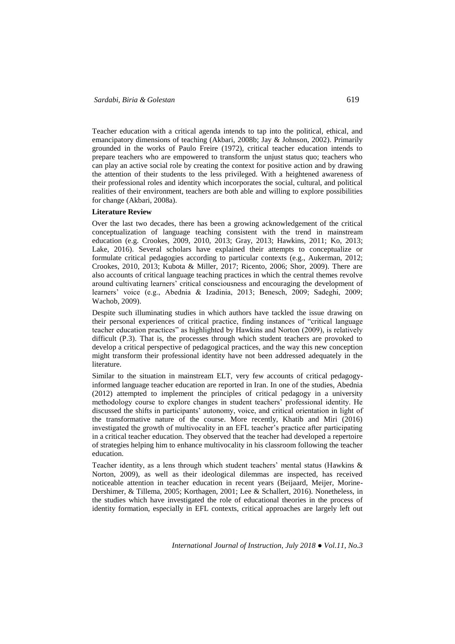Teacher education with a critical agenda intends to tap into the political, ethical, and emancipatory dimensions of teaching (Akbari, 2008b; Jay & Johnson, 2002). Primarily grounded in the works of Paulo Freire (1972), critical teacher education intends to prepare teachers who are empowered to transform the unjust status quo; teachers who can play an active social role by creating the context for positive action and by drawing the attention of their students to the less privileged. With a heightened awareness of their professional roles and identity which incorporates the social, cultural, and political realities of their environment, teachers are both able and willing to explore possibilities for change (Akbari, 2008a).

#### **Literature Review**

Over the last two decades, there has been a growing acknowledgement of the critical conceptualization of language teaching consistent with the trend in mainstream education (e.g. Crookes, 2009, 2010, 2013; Gray, 2013; Hawkins, 2011; Ko, 2013; Lake, 2016). Several scholars have explained their attempts to conceptualize or formulate critical pedagogies according to particular contexts (e.g., Aukerman, 2012; Crookes, 2010, 2013; Kubota & Miller, 2017; Ricento, 2006; Shor, 2009). There are also accounts of critical language teaching practices in which the central themes revolve around cultivating learners' critical consciousness and encouraging the development of learners' voice (e.g., Abednia & Izadinia, 2013; Benesch, 2009; Sadeghi, 2009; Wachob, 2009).

Despite such illuminating studies in which authors have tackled the issue drawing on their personal experiences of critical practice, finding instances of "critical language teacher education practices" as highlighted by Hawkins and Norton (2009), is relatively difficult (P.3). That is, the processes through which student teachers are provoked to develop a critical perspective of pedagogical practices, and the way this new conception might transform their professional identity have not been addressed adequately in the literature.

Similar to the situation in mainstream ELT, very few accounts of critical pedagogyinformed language teacher education are reported in Iran. In one of the studies, Abednia (2012) attempted to implement the principles of critical pedagogy in a university methodology course to explore changes in student teachers' professional identity. He discussed the shifts in participants' autonomy, voice, and critical orientation in light of the transformative nature of the course. More recently, Khatib and Miri (2016) investigated the growth of multivocality in an EFL teacher's practice after participating in a critical teacher education. They observed that the teacher had developed a repertoire of strategies helping him to enhance multivocality in his classroom following the teacher education.

Teacher identity, as a lens through which student teachers' mental status (Hawkins & Norton, 2009), as well as their ideological dilemmas are inspected, has received noticeable attention in teacher education in recent years (Beijaard, Meijer, Morine-Dershimer, & Tillema, 2005; Korthagen, 2001; Lee & Schallert, 2016). Nonetheless, in the studies which have investigated the role of educational theories in the process of identity formation, especially in EFL contexts, critical approaches are largely left out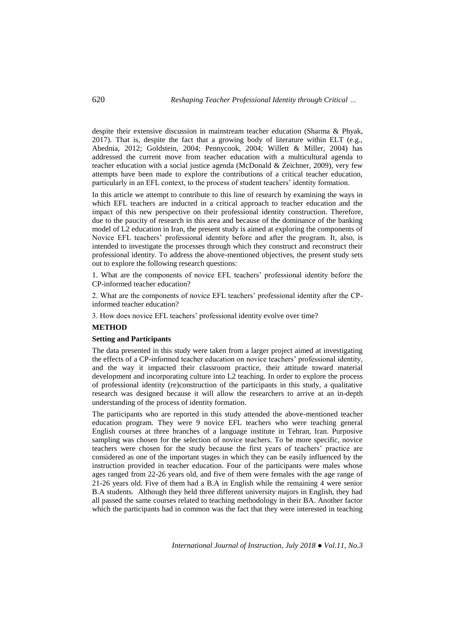despite their extensive discussion in mainstream teacher education (Sharma & Phyak, 2017). That is, despite the fact that a growing body of literature within ELT (e.g., Abednia, 2012; Goldstein, 2004; Pennycook, 2004; Willett & Miller, 2004) has addressed the current move from teacher education with a multicultural agenda to teacher education with a social justice agenda (McDonald & Zeichner, 2009), very few attempts have been made to explore the contributions of a critical teacher education, particularly in an EFL context, to the process of student teachers' identity formation.

In this article we attempt to contribute to this line of research by examining the ways in which EFL teachers are inducted in a critical approach to teacher education and the impact of this new perspective on their professional identity construction. Therefore, due to the paucity of research in this area and because of the dominance of the banking model of L2 education in Iran, the present study is aimed at exploring the components of Novice EFL teachers' professional identity before and after the program. It, also, is intended to investigate the processes through which they construct and reconstruct their professional identity. To address the above-mentioned objectives, the present study sets out to explore the following research questions:

1. What are the components of novice EFL teachers' professional identity before the CP-informed teacher education?

2. What are the components of novice EFL teachers' professional identity after the CPinformed teacher education?

3. How does novice EFL teachers' professional identity evolve over time?

### **METHOD**

### **Setting and Participants**

The data presented in this study were taken from a larger project aimed at investigating the effects of a CP-informed teacher education on novice teachers' professional identity, and the way it impacted their classroom practice, their attitude toward material development and incorporating culture into L2 teaching. In order to explore the process of professional identity (re)construction of the participants in this study, a qualitative research was designed because it will allow the researchers to arrive at an in-depth understanding of the process of identity formation.

The participants who are reported in this study attended the above-mentioned teacher education program. They were 9 novice EFL teachers who were teaching general English courses at three branches of a language institute in Tehran, Iran. Purposive sampling was chosen for the selection of novice teachers. To be more specific, novice teachers were chosen for the study because the first years of teachers' practice are considered as one of the important stages in which they can be easily influenced by the instruction provided in teacher education. Four of the participants were males whose ages ranged from 22-26 years old, and five of them were females with the age range of 21-26 years old. Five of them had a B.A in English while the remaining 4 were senior B.A students. Although they held three different university majors in English, they had all passed the same courses related to teaching methodology in their BA. Another factor which the participants had in common was the fact that they were interested in teaching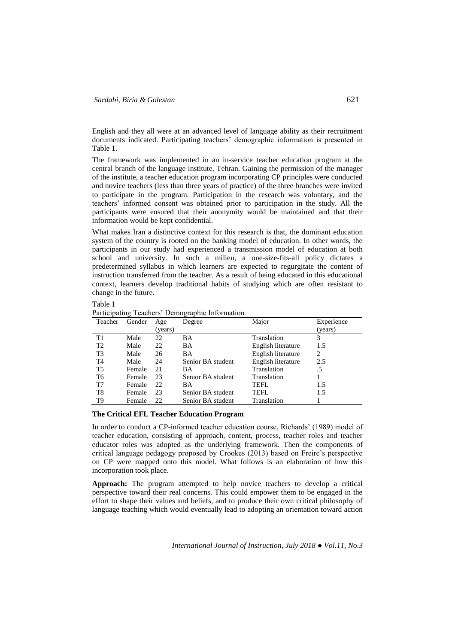English and they all were at an advanced level of language ability as their recruitment documents indicated. Participating teachers' demographic information is presented in Table 1.

The framework was implemented in an in-service teacher education program at the central branch of the language institute, Tehran. Gaining the permission of the manager of the institute, a teacher education program incorporating CP principles were conducted and novice teachers (less than three years of practice) of the three branches were invited to participate in the program. Participation in the research was voluntary, and the teachers' informed consent was obtained prior to participation in the study. All the participants were ensured that their anonymity would be maintained and that their information would be kept confidential.

What makes Iran a distinctive context for this research is that, the dominant education system of the country is rooted on the banking model of education. In other words, the participants in our study had experienced a transmission model of education at both school and university. In such a milieu, a one-size-fits-all policy dictates a predetermined syllabus in which learners are expected to regurgitate the content of instruction transferred from the teacher. As a result of being educated in this educational context, learners develop traditional habits of studying which are often resistant to change in the future.

Table 1

Participating Teachers' Demographic Information

| Teacher | Gender | Age     | Degree            | Major              | Experience |
|---------|--------|---------|-------------------|--------------------|------------|
|         |        | (years) |                   |                    | (years)    |
| T1      | Male   | 22      | <b>BA</b>         | Translation        | 3          |
| T2      | Male   | 22      | <b>BA</b>         | English literature | 1.5        |
| T3      | Male   | 26      | <b>BA</b>         | English literature | 2          |
| T4      | Male   | 24      | Senior BA student | English literature | 2.5        |
| T5      | Female | 21      | <b>BA</b>         | Translation        | .5         |
| T6      | Female | 23      | Senior BA student | Translation        |            |
| T7      | Female | 22      | <b>BA</b>         | TEFL.              | 1.5        |
| T8      | Female | 23      | Senior BA student | TEFL.              | 1.5        |
| T9      | Female | 22      | Senior BA student | Translation        |            |

## **The Critical EFL Teacher Education Program**

In order to conduct a CP-informed teacher education course, Richards' (1989) model of teacher education, consisting of approach, content, process, teacher roles and teacher educator roles was adopted as the underlying framework. Then the components of critical language pedagogy proposed by Crookes (2013) based on Freire's perspective on CP were mapped onto this model. What follows is an elaboration of how this incorporation took place.

**Approach:** The program attempted to help novice teachers to develop a critical perspective toward their real concerns. This could empower them to be engaged in the effort to shape their values and beliefs, and to produce their own critical philosophy of language teaching which would eventually lead to adopting an orientation toward action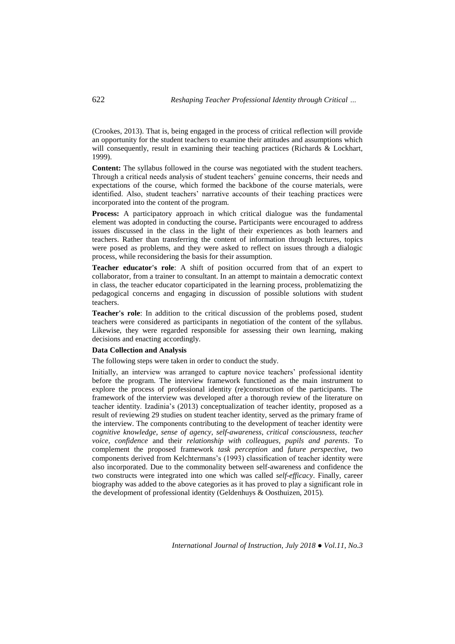(Crookes, 2013). That is, being engaged in the process of critical reflection will provide an opportunity for the student teachers to examine their attitudes and assumptions which will consequently, result in examining their teaching practices (Richards & Lockhart, 1999).

**Content:** The syllabus followed in the course was negotiated with the student teachers. Through a critical needs analysis of student teachers' genuine concerns, their needs and expectations of the course, which formed the backbone of the course materials, were identified. Also, student teachers' narrative accounts of their teaching practices were incorporated into the content of the program.

**Process:** A participatory approach in which critical dialogue was the fundamental element was adopted in conducting the course**.** Participants were encouraged to address issues discussed in the class in the light of their experiences as both learners and teachers. Rather than transferring the content of information through lectures, topics were posed as problems, and they were asked to reflect on issues through a dialogic process, while reconsidering the basis for their assumption.

**Teacher educator's role**: A shift of position occurred from that of an expert to collaborator, from a trainer to consultant. In an attempt to maintain a democratic context in class, the teacher educator coparticipated in the learning process, problematizing the pedagogical concerns and engaging in discussion of possible solutions with student teachers.

**Teacher's role**: In addition to the critical discussion of the problems posed, student teachers were considered as participants in negotiation of the content of the syllabus. Likewise, they were regarded responsible for assessing their own learning, making decisions and enacting accordingly.

# **Data Collection and Analysis**

The following steps were taken in order to conduct the study.

Initially, an interview was arranged to capture novice teachers' professional identity before the program. The interview framework functioned as the main instrument to explore the process of professional identity (re)construction of the participants. The framework of the interview was developed after a thorough review of the literature on teacher identity. Izadinia's (2013) conceptualization of teacher identity, proposed as a result of reviewing 29 studies on student teacher identity, served as the primary frame of the interview. The components contributing to the development of teacher identity were *cognitive knowledge*, *sense of agency*, *self-awareness*, *critical consciousness*, *teacher voice*, *confidence* and their *relationship with colleagues, pupils and parents*. To complement the proposed framework *task perception* and *future perspective*, two components derived from Kelchtermans's (1993) classification of teacher identity were also incorporated. Due to the commonality between self-awareness and confidence the two constructs were integrated into one which was called *self-efficacy*. Finally, career biography was added to the above categories as it has proved to play a significant role in the development of professional identity (Geldenhuys & Oosthuizen, 2015).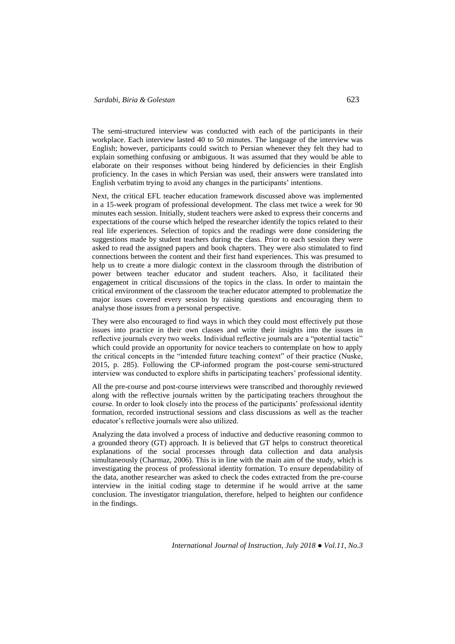The semi-structured interview was conducted with each of the participants in their workplace. Each interview lasted 40 to 50 minutes. The language of the interview was English; however, participants could switch to Persian whenever they felt they had to explain something confusing or ambiguous. It was assumed that they would be able to elaborate on their responses without being hindered by deficiencies in their English proficiency. In the cases in which Persian was used, their answers were translated into English verbatim trying to avoid any changes in the participants' intentions.

Next, the critical EFL teacher education framework discussed above was implemented in a 15-week program of professional development. The class met twice a week for 90 minutes each session. Initially, student teachers were asked to express their concerns and expectations of the course which helped the researcher identify the topics related to their real life experiences. Selection of topics and the readings were done considering the suggestions made by student teachers during the class. Prior to each session they were asked to read the assigned papers and book chapters. They were also stimulated to find connections between the content and their first hand experiences. This was presumed to help us to create a more dialogic context in the classroom through the distribution of power between teacher educator and student teachers. Also, it facilitated their engagement in critical discussions of the topics in the class. In order to maintain the critical environment of the classroom the teacher educator attempted to problematize the major issues covered every session by raising questions and encouraging them to analyse those issues from a personal perspective.

They were also encouraged to find ways in which they could most effectively put those issues into practice in their own classes and write their insights into the issues in reflective journals every two weeks. Individual reflective journals are a "potential tactic" which could provide an opportunity for novice teachers to contemplate on how to apply the critical concepts in the "intended future teaching context" of their practice (Nuske, 2015, p. 285). Following the CP-informed program the post-course semi-structured interview was conducted to explore shifts in participating teachers' professional identity.

All the pre-course and post-course interviews were transcribed and thoroughly reviewed along with the reflective journals written by the participating teachers throughout the course. In order to look closely into the process of the participants' professional identity formation, recorded instructional sessions and class discussions as well as the teacher educator's reflective journals were also utilized.

Analyzing the data involved a process of inductive and deductive reasoning common to a grounded theory (GT) approach. It is believed that GT helps to construct theoretical explanations of the social processes through data collection and data analysis simultaneously (Charmaz, 2006). This is in line with the main aim of the study, which is investigating the process of professional identity formation. To ensure dependability of the data, another researcher was asked to check the codes extracted from the pre-course interview in the initial coding stage to determine if he would arrive at the same conclusion. The investigator triangulation, therefore, helped to heighten our confidence in the findings.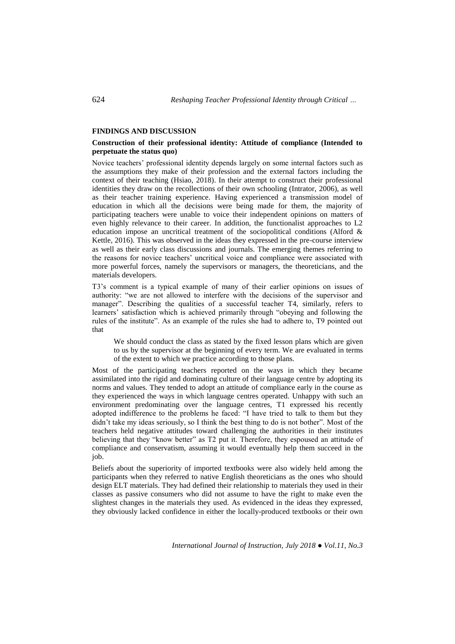### **FINDINGS AND DISCUSSION**

# **Construction of their professional identity: Attitude of compliance (Intended to perpetuate the status quo)**

Novice teachers' professional identity depends largely on some internal factors such as the assumptions they make of their profession and the external factors including the context of their teaching (Hsiao, 2018). In their attempt to construct their professional identities they draw on the recollections of their own schooling (Intrator, 2006), as well as their teacher training experience. Having experienced a transmission model of education in which all the decisions were being made for them, the majority of participating teachers were unable to voice their independent opinions on matters of even highly relevance to their career. In addition, the functionalist approaches to L2 education impose an uncritical treatment of the sociopolitical conditions (Alford & Kettle, 2016). This was observed in the ideas they expressed in the pre-course interview as well as their early class discussions and journals. The emerging themes referring to the reasons for novice teachers' uncritical voice and compliance were associated with more powerful forces, namely the supervisors or managers, the theoreticians, and the materials developers.

T3's comment is a typical example of many of their earlier opinions on issues of authority: "we are not allowed to interfere with the decisions of the supervisor and manager". Describing the qualities of a successful teacher T4, similarly, refers to learners' satisfaction which is achieved primarily through "obeying and following the rules of the institute". As an example of the rules she had to adhere to, T9 pointed out that

We should conduct the class as stated by the fixed lesson plans which are given to us by the supervisor at the beginning of every term. We are evaluated in terms of the extent to which we practice according to those plans.

Most of the participating teachers reported on the ways in which they became assimilated into the rigid and dominating culture of their language centre by adopting its norms and values. They tended to adopt an attitude of compliance early in the course as they experienced the ways in which language centres operated. Unhappy with such an environment predominating over the language centres, T1 expressed his recently adopted indifference to the problems he faced: "I have tried to talk to them but they didn't take my ideas seriously, so I think the best thing to do is not bother". Most of the teachers held negative attitudes toward challenging the authorities in their institutes believing that they "know better" as T2 put it. Therefore, they espoused an attitude of compliance and conservatism, assuming it would eventually help them succeed in the job.

Beliefs about the superiority of imported textbooks were also widely held among the participants when they referred to native English theoreticians as the ones who should design ELT materials. They had defined their relationship to materials they used in their classes as passive consumers who did not assume to have the right to make even the slightest changes in the materials they used. As evidenced in the ideas they expressed, they obviously lacked confidence in either the locally-produced textbooks or their own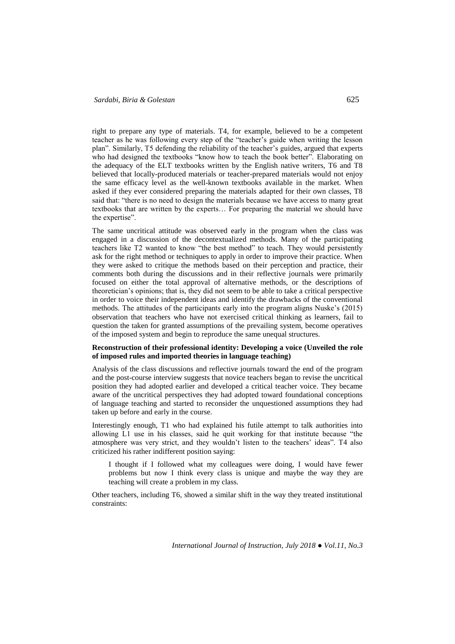right to prepare any type of materials. T4, for example, believed to be a competent teacher as he was following every step of the "teacher's guide when writing the lesson plan". Similarly, T5 defending the reliability of the teacher's guides, argued that experts who had designed the textbooks "know how to teach the book better". Elaborating on the adequacy of the ELT textbooks written by the English native writers, T6 and T8 believed that locally-produced materials or teacher-prepared materials would not enjoy the same efficacy level as the well-known textbooks available in the market. When asked if they ever considered preparing the materials adapted for their own classes, T8 said that: "there is no need to design the materials because we have access to many great textbooks that are written by the experts… For preparing the material we should have the expertise".

The same uncritical attitude was observed early in the program when the class was engaged in a discussion of the decontextualized methods. Many of the participating teachers like T2 wanted to know "the best method" to teach. They would persistently ask for the right method or techniques to apply in order to improve their practice. When they were asked to critique the methods based on their perception and practice, their comments both during the discussions and in their reflective journals were primarily focused on either the total approval of alternative methods, or the descriptions of theoretician's opinions; that is, they did not seem to be able to take a critical perspective in order to voice their independent ideas and identify the drawbacks of the conventional methods. The attitudes of the participants early into the program aligns Nuske's (2015) observation that teachers who have not exercised critical thinking as learners, fail to question the taken for granted assumptions of the prevailing system, become operatives of the imposed system and begin to reproduce the same unequal structures.

### **Reconstruction of their professional identity: Developing a voice (Unveiled the role of imposed rules and imported theories in language teaching)**

Analysis of the class discussions and reflective journals toward the end of the program and the post-course interview suggests that novice teachers began to revise the uncritical position they had adopted earlier and developed a critical teacher voice. They became aware of the uncritical perspectives they had adopted toward foundational conceptions of language teaching and started to reconsider the unquestioned assumptions they had taken up before and early in the course.

Interestingly enough, T1 who had explained his futile attempt to talk authorities into allowing L1 use in his classes, said he quit working for that institute because "the atmosphere was very strict, and they wouldn't listen to the teachers' ideas". T4 also criticized his rather indifferent position saying:

I thought if I followed what my colleagues were doing, I would have fewer problems but now I think every class is unique and maybe the way they are teaching will create a problem in my class.

Other teachers, including T6, showed a similar shift in the way they treated institutional constraints: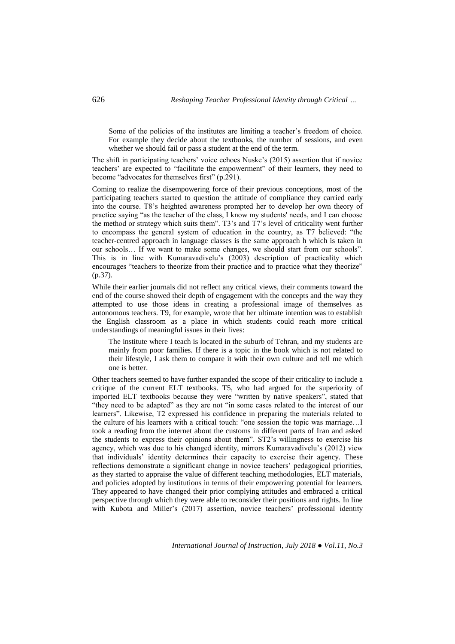Some of the policies of the institutes are limiting a teacher's freedom of choice. For example they decide about the textbooks, the number of sessions, and even whether we should fail or pass a student at the end of the term.

The shift in participating teachers' voice echoes Nuske's (2015) assertion that if novice teachers' are expected to "facilitate the empowerment" of their learners, they need to become "advocates for themselves first" (p.291).

Coming to realize the disempowering force of their previous conceptions, most of the participating teachers started to question the attitude of compliance they carried early into the course. T8's heighted awareness prompted her to develop her own theory of practice saying "as the teacher of the class, I know my students' needs, and I can choose the method or strategy which suits them". T3's and T7's level of criticality went further to encompass the general system of education in the country, as T7 believed: "the teacher-centred approach in language classes is the same approach h which is taken in our schools… If we want to make some changes, we should start from our schools". This is in line with Kumaravadivelu's (2003) description of practicality which encourages "teachers to theorize from their practice and to practice what they theorize" (p.37).

While their earlier journals did not reflect any critical views, their comments toward the end of the course showed their depth of engagement with the concepts and the way they attempted to use those ideas in creating a professional image of themselves as autonomous teachers. T9, for example, wrote that her ultimate intention was to establish the English classroom as a place in which students could reach more critical understandings of meaningful issues in their lives:

The institute where I teach is located in the suburb of Tehran, and my students are mainly from poor families. If there is a topic in the book which is not related to their lifestyle, I ask them to compare it with their own culture and tell me which one is better.

Other teachers seemed to have further expanded the scope of their criticality to include a critique of the current ELT textbooks. T5, who had argued for the superiority of imported ELT textbooks because they were "written by native speakers", stated that "they need to be adapted" as they are not "in some cases related to the interest of our learners". Likewise, T2 expressed his confidence in preparing the materials related to the culture of his learners with a critical touch: "one session the topic was marriage…I took a reading from the internet about the customs in different parts of Iran and asked the students to express their opinions about them". ST2's willingness to exercise his agency, which was due to his changed identity, mirrors Kumaravadivelu's (2012) view that individuals' identity determines their capacity to exercise their agency. These reflections demonstrate a significant change in novice teachers' pedagogical priorities, as they started to appraise the value of different teaching methodologies, ELT materials, and policies adopted by institutions in terms of their empowering potential for learners. They appeared to have changed their prior complying attitudes and embraced a critical perspective through which they were able to reconsider their positions and rights. In line with Kubota and Miller's (2017) assertion, novice teachers' professional identity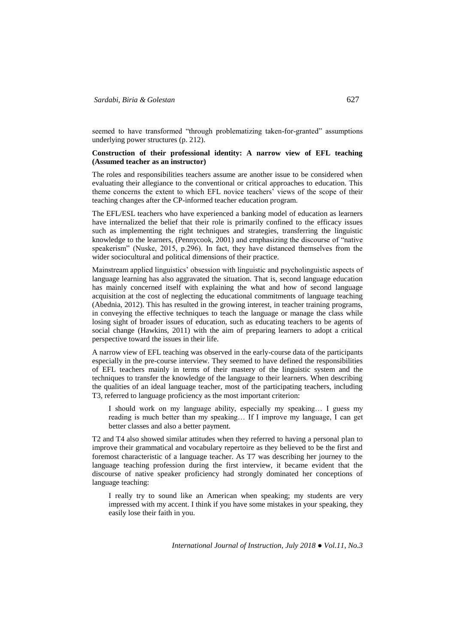seemed to have transformed "through problematizing taken-for-granted" assumptions underlying power structures (p. 212).

# **Construction of their professional identity: A narrow view of EFL teaching (Assumed teacher as an instructor)**

The roles and responsibilities teachers assume are another issue to be considered when evaluating their allegiance to the conventional or critical approaches to education. This theme concerns the extent to which EFL novice teachers' views of the scope of their teaching changes after the CP-informed teacher education program.

The EFL/ESL teachers who have experienced a banking model of education as learners have internalized the belief that their role is primarily confined to the efficacy issues such as implementing the right techniques and strategies, transferring the linguistic knowledge to the learners, (Pennycook, 2001) and emphasizing the discourse of "native speakerism" (Nuske, 2015, p.296). In fact, they have distanced themselves from the wider sociocultural and political dimensions of their practice.

Mainstream applied linguistics' obsession with linguistic and psycholinguistic aspects of language learning has also aggravated the situation. That is, second language education has mainly concerned itself with explaining the what and how of second language acquisition at the cost of neglecting the educational commitments of language teaching (Abednia, 2012). This has resulted in the growing interest, in teacher training programs, in conveying the effective techniques to teach the language or manage the class while losing sight of broader issues of education, such as educating teachers to be agents of social change (Hawkins, 2011) with the aim of preparing learners to adopt a critical perspective toward the issues in their life.

A narrow view of EFL teaching was observed in the early-course data of the participants especially in the pre-course interview. They seemed to have defined the responsibilities of EFL teachers mainly in terms of their mastery of the linguistic system and the techniques to transfer the knowledge of the language to their learners. When describing the qualities of an ideal language teacher, most of the participating teachers, including T3, referred to language proficiency as the most important criterion:

I should work on my language ability, especially my speaking… I guess my reading is much better than my speaking… If I improve my language, I can get better classes and also a better payment.

T2 and T4 also showed similar attitudes when they referred to having a personal plan to improve their grammatical and vocabulary repertoire as they believed to be the first and foremost characteristic of a language teacher. As T7 was describing her journey to the language teaching profession during the first interview, it became evident that the discourse of native speaker proficiency had strongly dominated her conceptions of language teaching:

I really try to sound like an American when speaking; my students are very impressed with my accent. I think if you have some mistakes in your speaking, they easily lose their faith in you.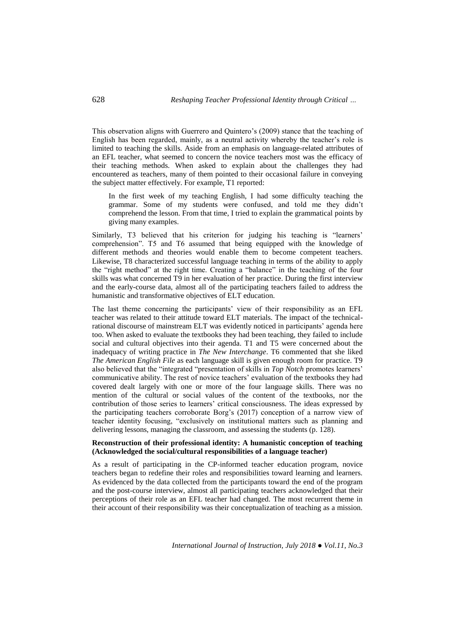This observation aligns with Guerrero and Quintero's (2009) stance that the teaching of English has been regarded, mainly, as a neutral activity whereby the teacher's role is limited to teaching the skills. Aside from an emphasis on language-related attributes of an EFL teacher, what seemed to concern the novice teachers most was the efficacy of their teaching methods. When asked to explain about the challenges they had encountered as teachers, many of them pointed to their occasional failure in conveying the subject matter effectively. For example, T1 reported:

In the first week of my teaching English, I had some difficulty teaching the grammar. Some of my students were confused, and told me they didn't comprehend the lesson. From that time, I tried to explain the grammatical points by giving many examples.

Similarly, T3 believed that his criterion for judging his teaching is "learners' comprehension". T5 and T6 assumed that being equipped with the knowledge of different methods and theories would enable them to become competent teachers. Likewise, T8 characterized successful language teaching in terms of the ability to apply the "right method" at the right time. Creating a "balance" in the teaching of the four skills was what concerned T9 in her evaluation of her practice. During the first interview and the early-course data, almost all of the participating teachers failed to address the humanistic and transformative objectives of ELT education.

The last theme concerning the participants' view of their responsibility as an EFL teacher was related to their attitude toward ELT materials. The impact of the technicalrational discourse of mainstream ELT was evidently noticed in participants' agenda here too. When asked to evaluate the textbooks they had been teaching, they failed to include social and cultural objectives into their agenda. T1 and T5 were concerned about the inadequacy of writing practice in *The New Interchange*. T6 commented that she liked *The American English File* as each language skill is given enough room for practice. T9 also believed that the "integrated "presentation of skills in *Top Notch* promotes learners' communicative ability. The rest of novice teachers' evaluation of the textbooks they had covered dealt largely with one or more of the four language skills. There was no mention of the cultural or social values of the content of the textbooks, nor the contribution of those series to learners' critical consciousness. The ideas expressed by the participating teachers corroborate Borg's (2017) conception of a narrow view of teacher identity focusing, "exclusively on institutional matters such as planning and delivering lessons, managing the classroom, and assessing the students (p. 128).

## **Reconstruction of their professional identity: A humanistic conception of teaching (Acknowledged the social/cultural responsibilities of a language teacher)**

As a result of participating in the CP-informed teacher education program, novice teachers began to redefine their roles and responsibilities toward learning and learners. As evidenced by the data collected from the participants toward the end of the program and the post-course interview, almost all participating teachers acknowledged that their perceptions of their role as an EFL teacher had changed. The most recurrent theme in their account of their responsibility was their conceptualization of teaching as a mission.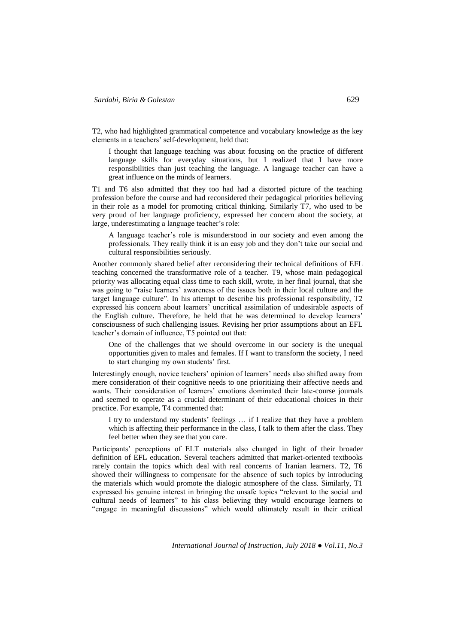T2, who had highlighted grammatical competence and vocabulary knowledge as the key elements in a teachers' self-development, held that:

I thought that language teaching was about focusing on the practice of different language skills for everyday situations, but I realized that I have more responsibilities than just teaching the language. A language teacher can have a great influence on the minds of learners.

T1 and T6 also admitted that they too had had a distorted picture of the teaching profession before the course and had reconsidered their pedagogical priorities believing in their role as a model for promoting critical thinking. Similarly T7, who used to be very proud of her language proficiency, expressed her concern about the society, at large, underestimating a language teacher's role:

A language teacher's role is misunderstood in our society and even among the professionals. They really think it is an easy job and they don't take our social and cultural responsibilities seriously.

Another commonly shared belief after reconsidering their technical definitions of EFL teaching concerned the transformative role of a teacher. T9, whose main pedagogical priority was allocating equal class time to each skill, wrote, in her final journal, that she was going to "raise learners' awareness of the issues both in their local culture and the target language culture". In his attempt to describe his professional responsibility, T2 expressed his concern about learners' uncritical assimilation of undesirable aspects of the English culture. Therefore, he held that he was determined to develop learners' consciousness of such challenging issues. Revising her prior assumptions about an EFL teacher's domain of influence, T5 pointed out that:

One of the challenges that we should overcome in our society is the unequal opportunities given to males and females. If I want to transform the society, I need to start changing my own students' first.

Interestingly enough, novice teachers' opinion of learners' needs also shifted away from mere consideration of their cognitive needs to one prioritizing their affective needs and wants. Their consideration of learners' emotions dominated their late-course journals and seemed to operate as a crucial determinant of their educational choices in their practice. For example, T4 commented that:

I try to understand my students' feelings … if I realize that they have a problem which is affecting their performance in the class, I talk to them after the class. They feel better when they see that you care.

Participants' perceptions of ELT materials also changed in light of their broader definition of EFL education. Several teachers admitted that market-oriented textbooks rarely contain the topics which deal with real concerns of Iranian learners. T2, T6 showed their willingness to compensate for the absence of such topics by introducing the materials which would promote the dialogic atmosphere of the class. Similarly, T1 expressed his genuine interest in bringing the unsafe topics "relevant to the social and cultural needs of learners" to his class believing they would encourage learners to "engage in meaningful discussions" which would ultimately result in their critical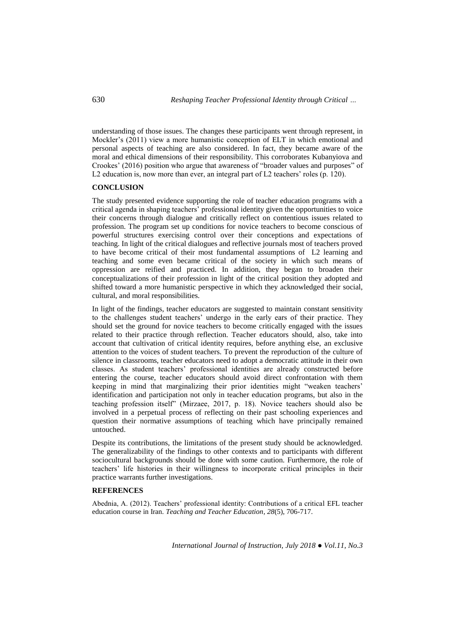understanding of those issues. The changes these participants went through represent, in Mockler's (2011) view a more humanistic conception of ELT in which emotional and personal aspects of teaching are also considered. In fact, they became aware of the moral and ethical dimensions of their responsibility. This corroborates Kubanyiova and Crookes' (2016) position who argue that awareness of "broader values and purposes" of L2 education is, now more than ever, an integral part of L2 teachers' roles (p. 120).

## **CONCLUSION**

The study presented evidence supporting the role of teacher education programs with a critical agenda in shaping teachers' professional identity given the opportunities to voice their concerns through dialogue and critically reflect on contentious issues related to profession. The program set up conditions for novice teachers to become conscious of powerful structures exercising control over their conceptions and expectations of teaching. In light of the critical dialogues and reflective journals most of teachers proved to have become critical of their most fundamental assumptions of L2 learning and teaching and some even became critical of the society in which such means of oppression are reified and practiced. In addition, they began to broaden their conceptualizations of their profession in light of the critical position they adopted and shifted toward a more humanistic perspective in which they acknowledged their social, cultural, and moral responsibilities.

In light of the findings, teacher educators are suggested to maintain constant sensitivity to the challenges student teachers' undergo in the early ears of their practice. They should set the ground for novice teachers to become critically engaged with the issues related to their practice through reflection. Teacher educators should, also, take into account that cultivation of critical identity requires, before anything else, an exclusive attention to the voices of student teachers. To prevent the reproduction of the culture of silence in classrooms, teacher educators need to adopt a democratic attitude in their own classes. As student teachers' professional identities are already constructed before entering the course, teacher educators should avoid direct confrontation with them keeping in mind that marginalizing their prior identities might "weaken teachers' identification and participation not only in teacher education programs, but also in the teaching profession itself" (Mirzaee, 2017, p. 18). Novice teachers should also be involved in a perpetual process of reflecting on their past schooling experiences and question their normative assumptions of teaching which have principally remained untouched.

Despite its contributions, the limitations of the present study should be acknowledged. The generalizability of the findings to other contexts and to participants with different sociocultural backgrounds should be done with some caution. Furthermore, the role of teachers' life histories in their willingness to incorporate critical principles in their practice warrants further investigations.

# **REFERENCES**

Abednia, A. (2012). Teachers' professional identity: Contributions of a critical EFL teacher education course in Iran. *Teaching and Teacher Education*, *28*(5), 706-717.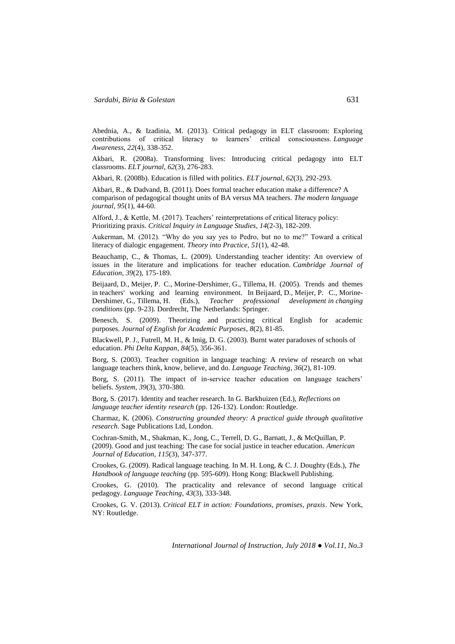Abednia, A., & Izadinia, M. (2013). Critical pedagogy in ELT classroom: Exploring contributions of critical literacy to learners' critical consciousness. *Language Awareness*, *22*(4), 338-352.

Akbari, R. (2008a). Transforming lives: Introducing critical pedagogy into ELT classrooms. *ELT journal*, *62*(3), 276-283.

Akbari, R. (2008b). Education is filled with politics. *ELT journal*, *62*(3), 292-293.

Akbari, R., & Dadvand, B. (2011). Does formal teacher education make a difference? A comparison of pedagogical thought units of BA versus MA teachers. *The modern language journal*, *95*(1), 44-60.

Alford, J., & Kettle, M. (2017). Teachers' reinterpretations of critical literacy policy: Prioritizing praxis. *Critical Inquiry in Language Studies*, *14*(2-3), 182-209.

Aukerman, M. (2012). "Why do you say yes to Pedro, but no to me?" Toward a critical literacy of dialogic engagement. *Theory into Practice*, *51*(1), 42-48.

Beauchamp, C., & Thomas, L. (2009). Understanding teacher identity: An overview of issues in the literature and implications for teacher education. *Cambridge Journal of Education*, *39*(2), 175-189.

Beijaard, D., Meijer, P. C., Morine-Dershimer, G., Tillema, H. (2005). Trends and themes in teachers' working and learning environment. In Beijaard, D., Meijer, P. C., Morine-Dershimer, G., Tillema, H. (Eds.), *Teacher professional development in changing conditions* (pp. 9-23). Dordrecht, The Netherlands: Springer.

Benesch, S. (2009). Theorizing and practicing critical English for academic purposes. *Journal of English for Academic Purposes*, *8*(2), 81-85.

Blackwell, P. J., Futrell, M. H., & Imig, D. G. (2003). Burnt water paradoxes of schools of education. *Phi Delta Kappan*, *84*(5), 356-361.

Borg, S. (2003). Teacher cognition in language teaching: A review of research on what language teachers think, know, believe, and do. *Language Teaching*, *36*(2), 81-109.

Borg, S. (2011). The impact of in-service teacher education on language teachers' beliefs. *System*, *39*(3), 370-380.

Borg, S. (2017). Identity and teacher research. In G. Barkhuizen (Ed.), *Reflections on language teacher identity research* (pp. 126-132). London: Routledge.

Charmaz, K. (2006). *Constructing grounded theory: A practical guide through qualitative research.* Sage Publications Ltd, London.

Cochran-Smith, M., Shakman, K., Jong, C., Terrell, D. G., Barnatt, J., & McQuillan, P. (2009). Good and just teaching: The case for social justice in teacher education. *American Journal of Education*, *115*(3), 347-377.

Crookes, G. (2009). Radical language teaching. In M. H. Long, & C. J. Doughty (Eds.), *The Handbook of language teaching* (pp. 595-609). Hong Kong: Blackwell Publishing.

Crookes, G. (2010). The practicality and relevance of second language critical pedagogy. *Language Teaching*, *43*(3), 333-348.

Crookes, G. V. (2013). *Critical ELT in action: Foundations, promises, praxis*. New York, NY: Routledge.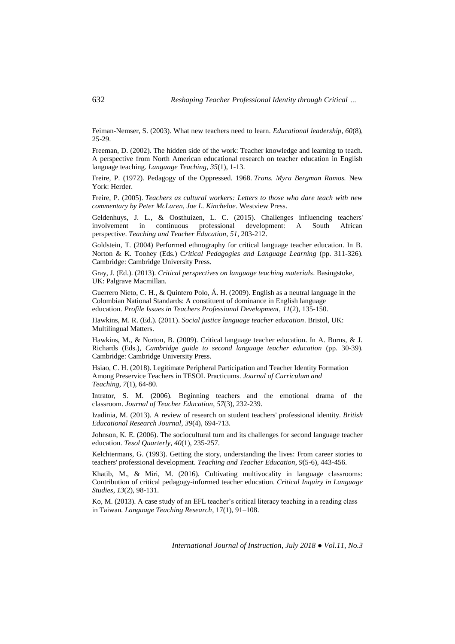Feiman-Nemser, S. (2003). What new teachers need to learn. *Educational leadership*, *60*(8), 25-29.

Freeman, D. (2002). The hidden side of the work: Teacher knowledge and learning to teach. A perspective from North American educational research on teacher education in English language teaching. *Language Teaching*, *35*(1), 1-13.

Freire, P. (1972). Pedagogy of the Oppressed. 1968. *Trans. Myra Bergman Ramos.* New York: Herder.

Freire, P. (2005). *Teachers as cultural workers: Letters to those who dare teach with new commentary by Peter McLaren, Joe L. Kincheloe*. Westview Press.

Geldenhuys, J. L., & Oosthuizen, L. C. (2015). Challenges influencing teachers' involvement in continuous professional development: A South African involvement in continuous professional development: A South African perspective. *Teaching and Teacher Education*, *51*, 203-212.

Goldstein, T. (2004) Performed ethnography for critical language teacher education. In B. Norton & K. Toohey (Eds.) C*ritical Pedagogies and Language Learning* (pp. 311-326). Cambridge: Cambridge University Press.

Gray, J. (Ed.). (2013). *Critical perspectives on language teaching materials*. Basingstoke, UK: Palgrave Macmillan.

Guerrero Nieto, C. H., & Quintero Polo, Á. H. (2009). English as a neutral language in the Colombian National Standards: A constituent of dominance in English language education. *Profile Issues in Teachers Professional Development*, *11*(2), 135-150.

Hawkins, M. R. (Ed.). (2011). *Social justice language teacher education*. Bristol, UK: Multilingual Matters.

Hawkins, M., & Norton, B. (2009). Critical language teacher education. In A. Burns, & J. Richards (Eds.), *Cambridge guide to second language teacher education* (pp. 30-39). Cambridge: Cambridge University Press.

Hsiao, C. H. (2018). Legitimate Peripheral Participation and Teacher Identity Formation Among Preservice Teachers in TESOL Practicums. *Journal of Curriculum and Teaching*, *7*(1), 64-80.

Intrator, S. M. (2006). Beginning teachers and the emotional drama of the classroom. *Journal of Teacher Education*, *57*(3), 232-239.

Izadinia, M. (2013). A review of research on student teachers' professional identity. *British Educational Research Journal*, *39*(4), 694-713.

Johnson, K. E. (2006). The sociocultural turn and its challenges for second language teacher education. *Tesol Quarterly*, *40*(1), 235-257.

Kelchtermans, G. (1993). Getting the story, understanding the lives: From career stories to teachers' professional development. *Teaching and Teacher Education*, *9*(5-6), 443-456.

Khatib, M., & Miri, M. (2016). Cultivating multivocality in language classrooms: Contribution of critical pedagogy-informed teacher education. *Critical Inquiry in Language Studies*, *13*(2), 98-131.

Ko, M. (2013). A case study of an EFL teacher's critical literacy teaching in a reading class in Taiwan*. Language Teaching Research*, 17(1), 91–108.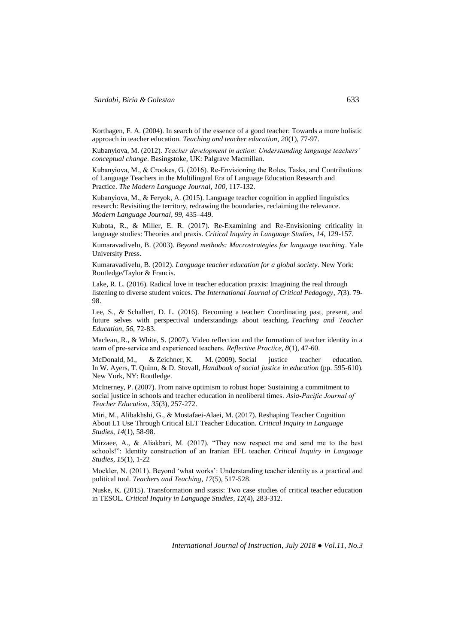Korthagen, F. A. (2004). In search of the essence of a good teacher: Towards a more holistic approach in teacher education. *Teaching and teacher education*, *20*(1), 77-97.

Kubanyiova, M. (2012). *Teacher development in action: Understanding language teachers' conceptual change*. Basingstoke, UK: Palgrave Macmillan.

Kubanyiova, M., & Crookes, G. (2016). Re‐Envisioning the Roles, Tasks, and Contributions of Language Teachers in the Multilingual Era of Language Education Research and Practice. *The Modern Language Journal*, *100*, 117-132.

Kubanyiova, M., & Feryok, A. (2015). Language teacher cognition in applied linguistics research: Revisiting the territory, redrawing the boundaries, reclaiming the relevance. *Modern Language Journal*, *99*, 435–449.

Kubota, R., & Miller, E. R. (2017). Re-Examining and Re-Envisioning criticality in language studies: Theories and praxis. *Critical Inquiry in Language Studies*, *14*, 129-157.

Kumaravadivelu, B. (2003). *Beyond methods: Macrostrategies for language teaching*. Yale University Press.

Kumaravadivelu, B. (2012). *Language teacher education for a global society*. New York: Routledge/Taylor & Francis.

Lake, R. L. (2016). Radical love in teacher education praxis: Imagining the real through listening to diverse student voices. *The International Journal of Critical Pedagogy*, *7*(3). 79- 98.

Lee, S., & Schallert, D. L. (2016). Becoming a teacher: Coordinating past, present, and future selves with perspectival understandings about teaching. *Teaching and Teacher Education*, *56*, 72-83.

Maclean, R., & White, S. (2007). Video reflection and the formation of teacher identity in a team of pre‐service and experienced teachers. *Reflective Practice*, *8*(1), 47-60.

McDonald, M., & Zeichner, K. M. (2009). Social justice teacher education. In W. Ayers, T. Quinn, & D. Stovall, *Handbook of social justice in education* (pp. 595-610). New York, NY: Routledge.

McInerney, P. (2007). From naive optimism to robust hope: Sustaining a commitment to social justice in schools and teacher education in neoliberal times. *Asia‐Pacific Journal of Teacher Education*, *35*(3), 257-272.

Miri, M., Alibakhshi, G., & Mostafaei-Alaei, M. (2017). Reshaping Teacher Cognition About L1 Use Through Critical ELT Teacher Education. *Critical Inquiry in Language Studies*, *14*(1), 58-98.

Mirzaee, A., & Aliakbari, M. (2017). "They now respect me and send me to the best schools!": Identity construction of an Iranian EFL teacher. *Critical Inquiry in Language Studies*, *15*(1), 1-22

Mockler, N. (2011). Beyond 'what works': Understanding teacher identity as a practical and political tool. *Teachers and Teaching*, *17*(5), 517-528.

Nuske, K. (2015). Transformation and stasis: Two case studies of critical teacher education in TESOL. *Critical Inquiry in Language Studies*, *12*(4), 283-312.